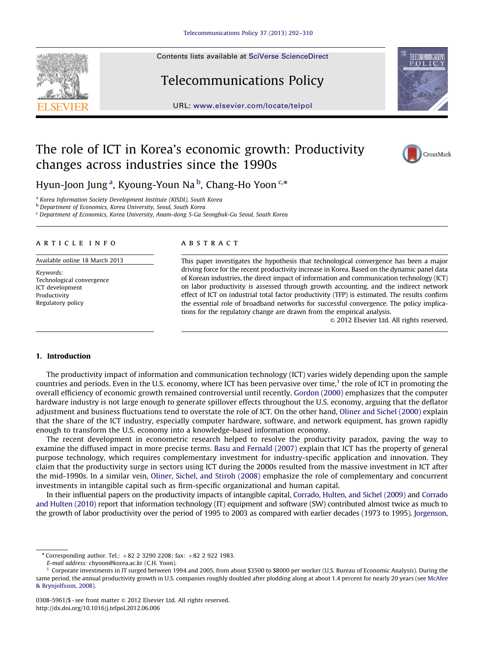Contents lists available at [SciVerse ScienceDirect](www.elsevier.com/locate/telpol)

## Telecommunications Policy

URL: <www.elsevier.com/locate/telpol>



## The role of ICT in Korea's economic growth: Productivity changes across industries since the 1990s



Hyun-Joon Jung<sup>a</sup>, Kyoung-Youn Na <sup>b</sup>, Chang-Ho Yoon <sup>c,</sup>\*

<sup>a</sup> Korea Information Society Development Institute (KISDI), South Korea

**b Department of Economics, Korea University, Seoul, South Korea** 

<sup>c</sup> Department of Economics, Korea University, Anam-dong 5-Ga Seongbuk-Gu Seoul, South Korea

#### article info

Available online 18 March 2013

Keywords: Technological convergence ICT development Productivity Regulatory policy

### **ABSTRACT**

This paper investigates the hypothesis that technological convergence has been a major driving force for the recent productivity increase in Korea. Based on the dynamic panel data of Korean industries, the direct impact of information and communication technology (ICT) on labor productivity is assessed through growth accounting, and the indirect network effect of ICT on industrial total factor productivity (TFP) is estimated. The results confirm the essential role of broadband networks for successful convergence. The policy implications for the regulatory change are drawn from the empirical analysis.

 $\odot$  2012 Elsevier Ltd. All rights reserved.

#### 1. Introduction

The productivity impact of information and communication technology (ICT) varies widely depending upon the sample countries and periods. Even in the U.S. economy, where ICT has been pervasive over time,<sup>1</sup> the role of ICT in promoting the overall efficiency of economic growth remained controversial until recently. [Gordon \(2000\)](#page--1-0) emphasizes that the computer hardware industry is not large enough to generate spillover effects throughout the U.S. economy, arguing that the deflator adjustment and business fluctuations tend to overstate the role of ICT. On the other hand, [Oliner and Sichel \(2000\)](#page--1-0) explain that the share of the ICT industry, especially computer hardware, software, and network equipment, has grown rapidly enough to transform the U.S. economy into a knowledge-based information economy.

The recent development in econometric research helped to resolve the productivity paradox, paving the way to examine the diffused impact in more precise terms. [Basu and Fernald \(2007\)](#page--1-0) explain that ICT has the property of general purpose technology, which requires complementary investment for industry-specific application and innovation. They claim that the productivity surge in sectors using ICT during the 2000s resulted from the massive investment in ICT after the mid-1990s. In a similar vein, [Oliner, Sichel, and Stiroh \(2008\)](#page--1-0) emphasize the role of complementary and concurrent investments in intangible capital such as firm-specific organizational and human capital.

In their influential papers on the productivity impacts of intangible capital, [Corrado, Hulten, and Sichel \(2009\)](#page--1-0) and [Corrado](#page--1-0) [and Hulten \(2010\)](#page--1-0) report that information technology (IT) equipment and software (SW) contributed almost twice as much to the growth of labor productivity over the period of 1995 to 2003 as compared with earlier decades (1973 to 1995). [Jorgenson,](#page--1-0)

 $*$  Corresponding author. Tel.:  $+82$  2 3290 2208; fax:  $+82$  2 922 1983.

E-mail address: [chyoon@korea.ac.kr \(C.H. Yoon\)](mailto:chyoon@korea.ac.kr).

 $1$  Corporate investments in IT surged between 1994 and 2005, from about \$3500 to \$8000 per worker (U.S. Bureau of Economic Analysis). During the same period, the annual productivity growth in U.S. companies roughly doubled after plodding along at about 1.4 percent for nearly 20 years (see [McAfee](#page--1-0) [& Brynjolfsson, 2008\)](#page--1-0).

<sup>0308-5961/\$ -</sup> see front matter  $\odot$  2012 Elsevier Ltd. All rights reserved. [http://dx.doi.org/10.1016/j.telpol.2012.06.006](dx.doi.org/10.1016/j.telpol.2012.06.006)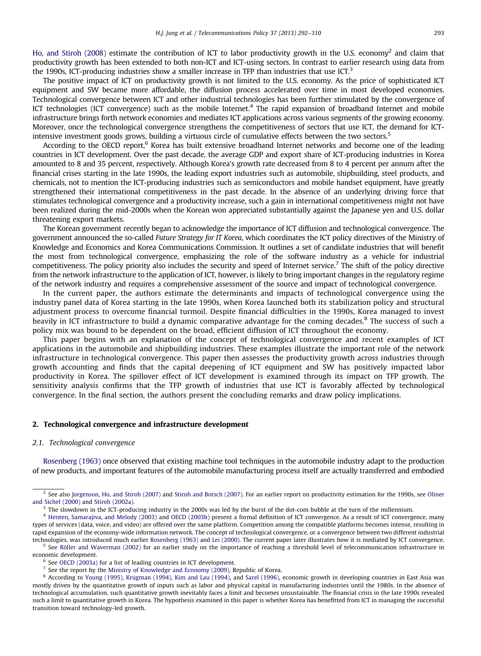[Ho, and Stiroh \(2008\)](#page--1-0) estimate the contribution of ICT to labor productivity growth in the U.S. economy2 and claim that productivity growth has been extended to both non-ICT and ICT-using sectors. In contrast to earlier research using data from the 1990s, ICT-producing industries show a smaller increase in TFP than industries that use ICT.<sup>3</sup>

The positive impact of ICT on productivity growth is not limited to the U.S. economy. As the price of sophisticated ICT equipment and SW became more affordable, the diffusion process accelerated over time in most developed economies. Technological convergence between ICT and other industrial technologies has been further stimulated by the convergence of ICT technologies (ICT convergence) such as the mobile Internet.<sup>4</sup> The rapid expansion of broadband Internet and mobile infrastructure brings forth network economies and mediates ICT applications across various segments of the growing economy. Moreover, once the technological convergence strengthens the competitiveness of sectors that use ICT, the demand for ICTintensive investment goods grows, building a virtuous circle of cumulative effects between the two sectors.5

According to the OECD report,<sup>6</sup> Korea has built extensive broadband Internet networks and become one of the leading countries in ICT development. Over the past decade, the average GDP and export share of ICT-producing industries in Korea amounted to 8 and 35 percent, respectively. Although Korea's growth rate decreased from 8 to 4 percent per annum after the financial crises starting in the late 1990s, the leading export industries such as automobile, shipbuilding, steel products, and chemicals, not to mention the ICT-producing industries such as semiconductors and mobile handset equipment, have greatly strengthened their international competitiveness in the past decade. In the absence of an underlying driving force that stimulates technological convergence and a productivity increase, such a gain in international competitiveness might not have been realized during the mid-2000s when the Korean won appreciated substantially against the Japanese yen and U.S. dollar threatening export markets.

The Korean government recently began to acknowledge the importance of ICT diffusion and technological convergence. The government announced the so-called Future Strategy for IT Korea, which coordinates the ICT policy directives of the Ministry of Knowledge and Economics and Korea Communications Commission. It outlines a set of candidate industries that will benefit the most from technological convergence, emphasizing the role of the software industry as a vehicle for industrial competitiveness. The policy priority also includes the security and speed of Internet service.<sup>7</sup> The shift of the policy directive from the network infrastructure to the application of ICT, however, is likely to bring important changes in the regulatory regime of the network industry and requires a comprehensive assessment of the source and impact of technological convergence.

In the current paper, the authors estimate the determinants and impacts of technological convergence using the industry panel data of Korea starting in the late 1990s, when Korea launched both its stabilization policy and structural adjustment process to overcome financial turmoil. Despite financial difficulties in the 1990s, Korea managed to invest heavily in ICT infrastructure to build a dynamic comparative advantage for the coming decades.<sup>8</sup> The success of such a policy mix was bound to be dependent on the broad, efficient diffusion of ICT throughout the economy.

This paper begins with an explanation of the concept of technological convergence and recent examples of ICT applications in the automobile and shipbuilding industries. These examples illustrate the important role of the network infrastructure in technological convergence. This paper then assesses the productivity growth across industries through growth accounting and finds that the capital deepening of ICT equipment and SW has positively impacted labor productivity in Korea. The spillover effect of ICT development is examined through its impact on TFP growth. The sensitivity analysis confirms that the TFP growth of industries that use ICT is favorably affected by technological convergence. In the final section, the authors present the concluding remarks and draw policy implications.

#### 2. Technological convergence and infrastructure development

#### 2.1. Technological convergence

[Rosenberg \(1963\)](#page--1-0) once observed that existing machine tool techniques in the automobile industry adapt to the production of new products, and important features of the automobile manufacturing process itself are actually transferred and embodied

See Röller and Waverman (2002) for an earlier study on the importance of reaching a threshold level of telecommunication infrastructure in economic development.

 $<sup>2</sup>$  See also [Jorgenson, Ho, and Stiroh \(2007\)](#page--1-0) and [Stiroh and Botsch \(2007\)](#page--1-0). For an earlier report on productivity estimation for the 1990s, see [Oliner](#page--1-0)</sup> [and Sichel \(2000\)](#page--1-0) and [Stiroh \(2002a\)](#page--1-0).

<sup>&</sup>lt;sup>3</sup> The slowdown in the ICT-producing industry in the 2000s was led by the burst of the dot-com bubble at the turn of the millennium.

<sup>4</sup> [Henten, Samarajiva, and Melody \(2003\)](#page--1-0) and [OECD \(2003b\)](#page--1-0) present a formal definition of ICT convergence. As a result of ICT convergence, many types of services (data, voice, and video) are offered over the same platform. Competition among the compatible platforms becomes intense, resulting in rapid expansion of the economy-wide information network. The concept of technological convergence, or a convergence between two different industrial technologies, was introduced much earlier [Rosenberg \(1963\)](#page--1-0) and [Lei \(2000\)](#page--1-0). The current paper later illustrates how it is mediated by ICT convergence.

<sup>6</sup> See [OECD \(2003a\)](#page--1-0) for a list of leading countries in ICT development.

<sup>7</sup> See the report by the [Ministry of Knowledge and Economy \(2009\),](#page--1-0) Republic of Korea.

<sup>8</sup> According to [Young \(1995\),](#page--1-0) [Krugman \(1994\),](#page--1-0) [Kim and Lau \(1994\)](#page--1-0), and [Sarel \(1996\),](#page--1-0) economic growth in developing countries in East Asia was mostly driven by the quantitative growth of inputs such as labor and physical capital in manufacturing industries until the 1980s. In the absence of technological accumulation, such quantitative growth inevitably faces a limit and becomes unsustainable. The financial crisis in the late 1990s revealed such a limit to quantitative growth in Korea. The hypothesis examined in this paper is whether Korea has benefitted from ICT in managing the successful transition toward technology-led growth.